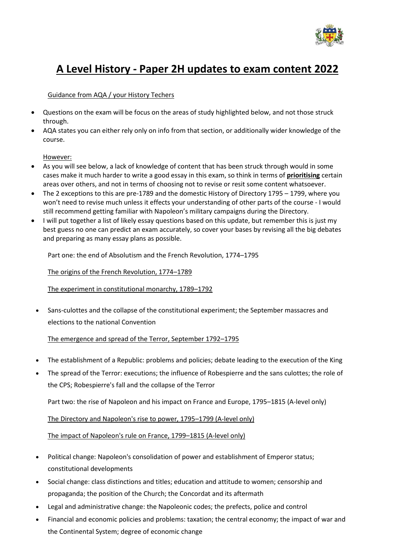

# **A Level History - Paper 2H updates to exam content 2022**

## Guidance from AQA / your History Techers

- Questions on the exam will be focus on the areas of study highlighted below, and not those struck through.
- AQA states you can either rely only on info from that section, or additionally wider knowledge of the course.

#### However:

- As you will see below, a lack of knowledge of content that has been struck through would in some cases make it much harder to write a good essay in this exam, so think in terms of **prioritising** certain areas over others, and not in terms of choosing not to revise or resit some content whatsoever.
- The 2 exceptions to this are pre-1789 and the domestic History of Directory 1795 1799, where you won't need to revise much unless it effects your understanding of other parts of the course - I would still recommend getting familiar with Napoleon's military campaigns during the Directory.
- I will put together a list of likely essay questions based on this update, but remember this is just my best guess no one can predict an exam accurately, so cover your bases by revising all the big debates and preparing as many essay plans as possible.

Part one: the end of Absolutism and the French Revolution, 1774–1795

The origins of the French Revolution, 1774–1789

The experiment in constitutional monarchy, 1789–1792

• Sans-culottes and the collapse of the constitutional experiment; the September massacres and elections to the national Convention

## The emergence and spread of the Terror, September 1792–1795

- The establishment of a Republic: problems and policies; debate leading to the execution of the King
- The spread of the Terror: executions; the influence of Robespierre and the sans culottes; the role of the CPS; Robespierre's fall and the collapse of the Terror

Part two: the rise of Napoleon and his impact on France and Europe, 1795–1815 (A-level only)

The Directory and Napoleon's rise to power, 1795–1799 (A-level only)

The impact of Napoleon's rule on France, 1799–1815 (A-level only)

- Political change: Napoleon's consolidation of power and establishment of Emperor status; constitutional developments
- Social change: class distinctions and titles; education and attitude to women; censorship and propaganda; the position of the Church; the Concordat and its aftermath
- Legal and administrative change: the Napoleonic codes; the prefects, police and control
- Financial and economic policies and problems: taxation; the central economy; the impact of war and the Continental System; degree of economic change